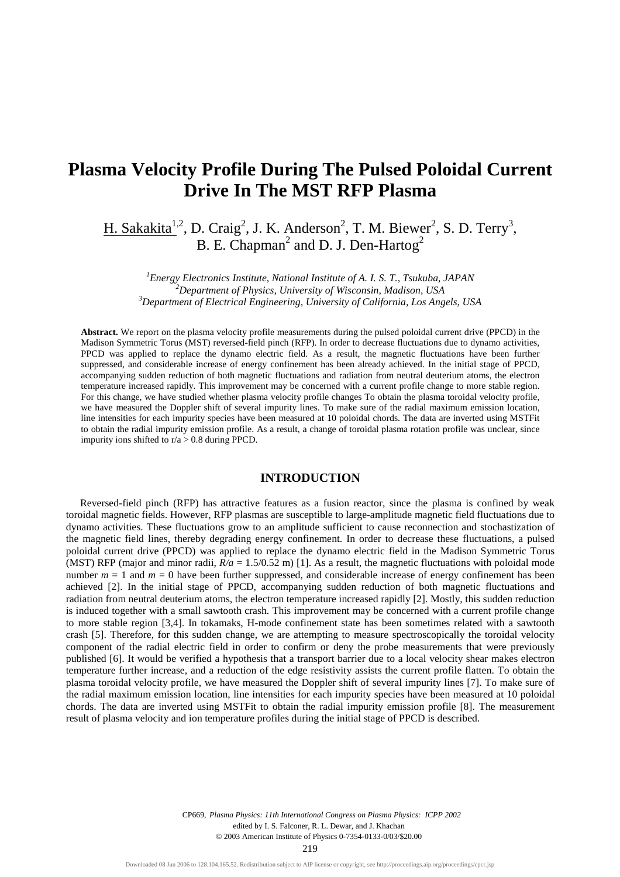# **Plasma Velocity Profile During The Pulsed Poloidal Current Drive In The MST RFP Plasma**

H. Sakakita<sup>1,2</sup>, D. Craig<sup>2</sup>, J. K. Anderson<sup>2</sup>, T. M. Biewer<sup>2</sup>, S. D. Terry<sup>3</sup>, B. E. Chapman<sup>2</sup> and D. J. Den-Hartog<sup>2</sup>

*<sup>1</sup>Energy Electronics Institute, National Institute of A. I. S. T., Tsukuba, JAPAN <sup>2</sup>Department of Physics, University of Wisconsin, Madison, USA <sup>3</sup>Department of Electrical Engineering, University of California, Los Angels, USA*

**Abstract.** We report on the plasma velocity profile measurements during the pulsed poloidal current drive (PPCD) in the Madison Symmetric Torus (MST) reversed-field pinch (RFP). In order to decrease fluctuations due to dynamo activities, PPCD was applied to replace the dynamo electric field. As a result, the magnetic fluctuations have been further suppressed, and considerable increase of energy confinement has been already achieved. In the initial stage of PPCD, accompanying sudden reduction of both magnetic fluctuations and radiation from neutral deuterium atoms, the electron temperature increased rapidly. This improvement may be concerned with a current profile change to more stable region. For this change, we have studied whether plasma velocity profile changes To obtain the plasma toroidal velocity profile, we have measured the Doppler shift of several impurity lines. To make sure of the radial maximum emission location, line intensities for each impurity species have been measured at 10 poloidal chords. The data are inverted using MSTFit to obtain the radial impurity emission profile. As a result, a change of toroidal plasma rotation profile was unclear, since impurity ions shifted to  $r/a > 0.8$  during PPCD.

### **INTRODUCTION**

Reversed-field pinch (RFP) has attractive features as a fusion reactor, since the plasma is confined by weak toroidal magnetic fields. However, RFP plasmas are susceptible to large-amplitude magnetic field fluctuations due to dynamo activities. These fluctuations grow to an amplitude sufficient to cause reconnection and stochastization of the magnetic field lines, thereby degrading energy confinement. In order to decrease these fluctuations, a pulsed poloidal current drive (PPCD) was applied to replace the dynamo electric field in the Madison Symmetric Torus (MST) RFP (major and minor radii,  $R/a = 1.5/0.52$  m) [1]. As a result, the magnetic fluctuations with poloidal mode number  $m = 1$  and  $m = 0$  have been further suppressed, and considerable increase of energy confinement has been achieved [2]. In the initial stage of PPCD, accompanying sudden reduction of both magnetic fluctuations and radiation from neutral deuterium atoms, the electron temperature increased rapidly [2]. Mostly, this sudden reduction is induced together with a small sawtooth crash. This improvement may be concerned with a current profile change to more stable region [3,4]. In tokamaks, H-mode confinement state has been sometimes related with a sawtooth crash [5]. Therefore, for this sudden change, we are attempting to measure spectroscopically the toroidal velocity component of the radial electric field in order to confirm or deny the probe measurements that were previously published [6]. It would be verified a hypothesis that a transport barrier due to a local velocity shear makes electron temperature further increase, and a reduction of the edge resistivity assists the current profile flatten. To obtain the plasma toroidal velocity profile, we have measured the Doppler shift of several impurity lines [7]. To make sure of the radial maximum emission location, line intensities for each impurity species have been measured at 10 poloidal chords. The data are inverted using MSTFit to obtain the radial impurity emission profile [8]. The measurement result of plasma velocity and ion temperature profiles during the initial stage of PPCD is described.

CP669, *Plasma Physics: 11th International Congress on Plasma Physics: ICPP 2002*<br>edited by I. S. Falconer, R. L. Dewar, and J. Khachan<br>© 2003 American Institute of Physics 0-7354-0133-0/03/\$20.00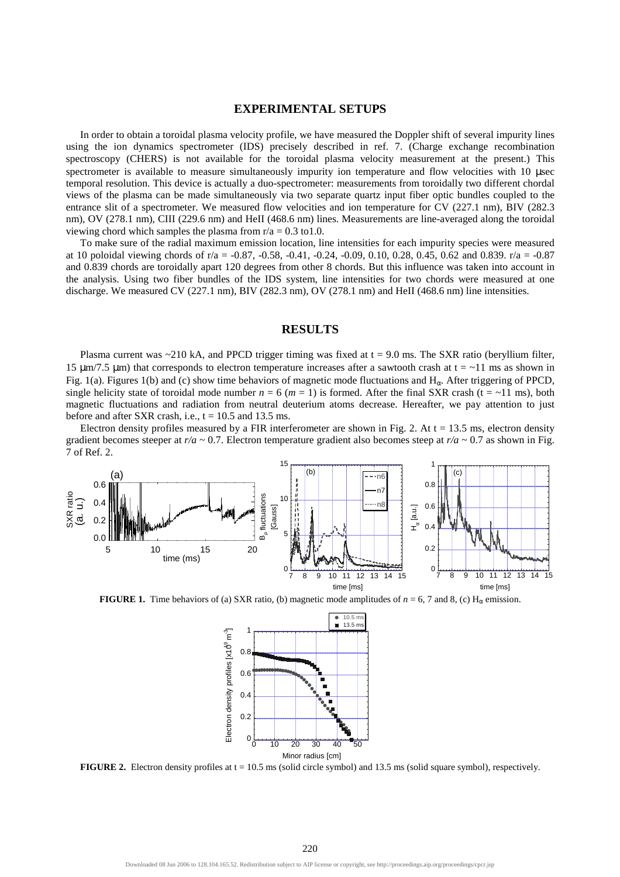## **EXPERIMENTAL SETUPS**

In order to obtain a toroidal plasma velocity profile, we have measured the Doppler shift of several impurity lines using the ion dynamics spectrometer (IDS) precisely described in ref. 7. (Charge exchange recombination spectroscopy (CHERS) is not available for the toroidal plasma velocity measurement at the present.) This spectrometer is available to measure simultaneously impurity ion temperature and flow velocities with 10 µsec temporal resolution. This device is actually a duo-spectrometer: measurements from toroidally two different chordal views of the plasma can be made simultaneously via two separate quartz input fiber optic bundles coupled to the entrance slit of a spectrometer. We measured flow velocities and ion temperature for CV (227.1 nm), BIV (282.3 nm), OV (278.1 nm), CIII (229.6 nm) and HeII (468.6 nm) lines. Measurements are line-averaged along the toroidal viewing chord which samples the plasma from  $r/a = 0.3$  to 1.0.

To make sure of the radial maximum emission location, line intensities for each impurity species were measured at 10 poloidal viewing chords of r/a = -0.87, -0.58, -0.41, -0.24, -0.09, 0.10, 0.28, 0.45, 0.62 and 0.839. r/a = -0.87 and 0.839 chords are toroidally apart 120 degrees from other 8 chords. But this influence was taken into account in the analysis. Using two fiber bundles of the IDS system, line intensities for two chords were measured at one discharge. We measured CV (227.1 nm), BIV (282.3 nm), OV (278.1 nm) and HeII (468.6 nm) line intensities.

### **RESULTS**

Plasma current was  $\sim$ 210 kA, and PPCD trigger timing was fixed at  $t = 9.0$  ms. The SXR ratio (beryllium filter, 15  $\mu$ m/7.5  $\mu$ m) that corresponds to electron temperature increases after a sawtooth crash at t = ~11 ms as shown in Fig. 1(a). Figures 1(b) and (c) show time behaviors of magnetic mode fluctuations and  $H_{\alpha}$ . After triggering of PPCD, single helicity state of toroidal mode number  $n = 6$  ( $m = 1$ ) is formed. After the final SXR crash ( $t = \sim 11$  ms), both magnetic fluctuations and radiation from neutral deuterium atoms decrease. Hereafter, we pay attention to just before and after SXR crash, i.e.,  $t = 10.5$  and 13.5 ms.

Electron density profiles measured by a FIR interferometer are shown in Fig. 2. At  $t = 13.5$  ms, electron density gradient becomes steeper at *r/a* ~ 0.7. Electron temperature gradient also becomes steep at *r/a* ~ 0.7 as shown in Fig. 7 of Ref. 2.



**FIGURE 1.** Time behaviors of (a) SXR ratio, (b) magnetic mode amplitudes of  $n = 6, 7$  and 8, (c) H<sub>α</sub> emission.



**FIGURE 2.** Electron density profiles at t = 10.5 ms (solid circle symbol) and 13.5 ms (solid square symbol), respectively.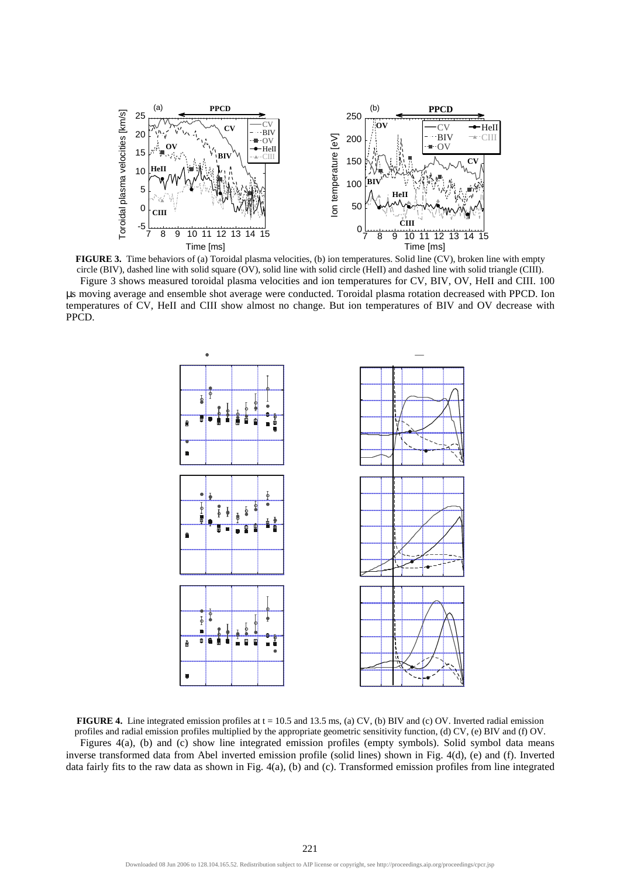

**FIGURE 3.** Time behaviors of (a) Toroidal plasma velocities, (b) ion temperatures. Solid line (CV), broken line with empty circle (BIV), dashed line with solid square (OV), solid line with solid circle (HeII) and dashed line with solid triangle (CIII). Figure 3 shows measured toroidal plasma velocities and ion temperatures for CV, BIV, OV, HeII and CIII. 100 µs moving average and ensemble shot average were conducted. Toroidal plasma rotation decreased with PPCD. Ion temperatures of CV, HeII and CIII show almost no change. But ion temperatures of BIV and OV decrease with PPCD.



**FIGURE 4.** Line integrated emission profiles at t = 10.5 and 13.5 ms, (a) CV, (b) BIV and (c) OV. Inverted radial emission profiles and radial emission profiles multiplied by the appropriate geometric sensitivity function, (d) CV, (e) BIV and (f) OV. Figures 4(a), (b) and (c) show line integrated emission profiles (empty symbols). Solid symbol data means inverse transformed data from Abel inverted emission profile (solid lines) shown in Fig. 4(d), (e) and (f). Inverted data fairly fits to the raw data as shown in Fig. 4(a), (b) and (c). Transformed emission profiles from line integrated